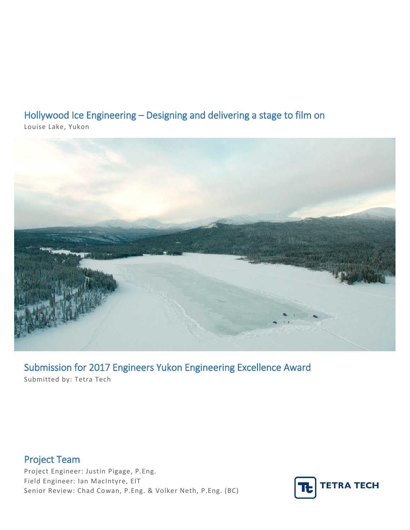# Hollywood Ice Engineering – Designing and delivering a stage to film on

Louise Lake, Yukon



Submission for 2017 Engineers Yukon Engineering Excellence Award Submitted by: Tetra Tech

Project Team Project Engineer: Justin Pigage, P.Eng. Field Engineer: Ian MacIntyre, EIT Senior Review: Chad Cowan, P.Eng. & Volker Neth, P.Eng. (BC)

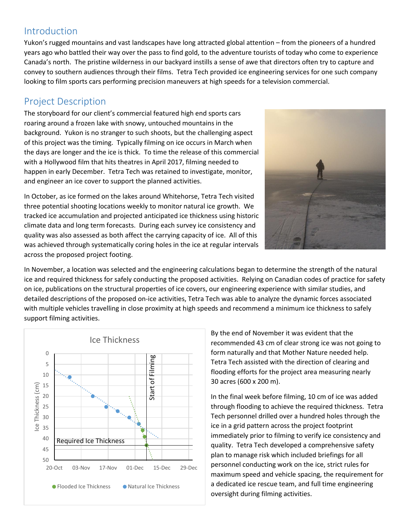#### Introduction

Yukon's rugged mountains and vast landscapes have long attracted global attention – from the pioneers of a hundred years ago who battled their way over the pass to find gold, to the adventure tourists of today who come to experience Canada's north. The pristine wilderness in our backyard instills a sense of awe that directors often try to capture and convey to southern audiences through their films. Tetra Tech provided ice engineering services for one such company looking to film sports cars performing precision maneuvers at high speeds for a television commercial.

#### Project Description

The storyboard for our client's commercial featured high end sports cars roaring around a frozen lake with snowy, untouched mountains in the background. Yukon is no stranger to such shoots, but the challenging aspect of this project was the timing. Typically filming on ice occurs in March when the days are longer and the ice is thick. To time the release of this commercial with a Hollywood film that hits theatres in April 2017, filming needed to happen in early December. Tetra Tech was retained to investigate, monitor, and engineer an ice cover to support the planned activities.

In October, as ice formed on the lakes around Whitehorse, Tetra Tech visited three potential shooting locations weekly to monitor natural ice growth. We tracked ice accumulation and projected anticipated ice thickness using historic climate data and long term forecasts. During each survey ice consistency and quality was also assessed as both affect the carrying capacity of ice. All of this was achieved through systematically coring holes in the ice at regular intervals across the proposed project footing.



In November, a location was selected and the engineering calculations began to determine the strength of the natural ice and required thickness for safely conducting the proposed activities. Relying on Canadian codes of practice for safety on ice, publications on the structural properties of ice covers, our engineering experience with similar studies, and detailed descriptions of the proposed on-ice activities, Tetra Tech was able to analyze the dynamic forces associated with multiple vehicles travelling in close proximity at high speeds and recommend a minimum ice thickness to safely support filming activities.



By the end of November it was evident that the recommended 43 cm of clear strong ice was not going to form naturally and that Mother Nature needed help. Tetra Tech assisted with the direction of clearing and flooding efforts for the project area measuring nearly 30 acres (600 x 200 m).

In the final week before filming, 10 cm of ice was added through flooding to achieve the required thickness. Tetra Tech personnel drilled over a hundred holes through the ice in a grid pattern across the project footprint immediately prior to filming to verify ice consistency and quality. Tetra Tech developed a comprehensive safety plan to manage risk which included briefings for all personnel conducting work on the ice, strict rules for maximum speed and vehicle spacing, the requirement for a dedicated ice rescue team, and full time engineering oversight during filming activities.